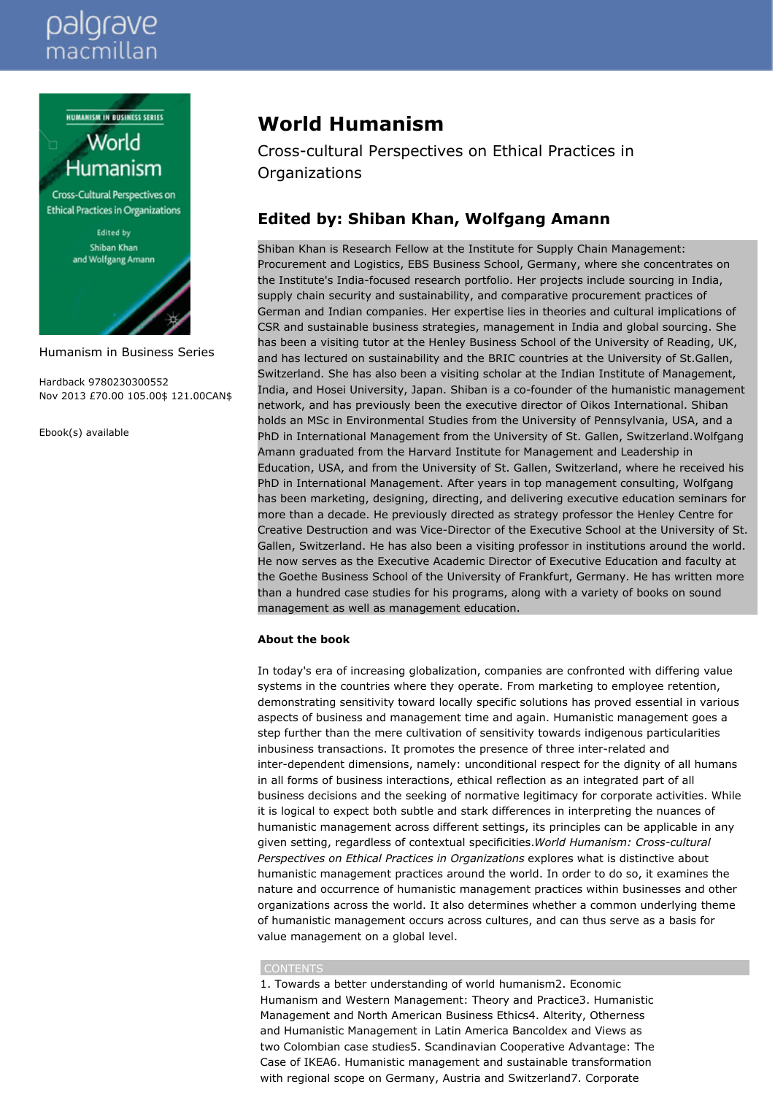# palgrave macmillan

**HUMANISM IN BUSINESS SERIES** 



Cross-Cultural Perspectives on **Ethical Practices in Organizations** 

> Edited by Shiban Khan and Wolfgang Amann

Humanism in Business Series

Hardback 9780230300552 Nov 2013 £70.00 105.00\$ 121.00CAN\$

Ebook(s) available

# **World Humanism**

Cross-cultural Perspectives on Ethical Practices in Organizations

# **Edited by: Shiban Khan, Wolfgang Amann**

Shiban Khan is Research Fellow at the Institute for Supply Chain Management: Procurement and Logistics, EBS Business School, Germany, where she concentrates on the Institute's India-focused research portfolio. Her projects include sourcing in India, supply chain security and sustainability, and comparative procurement practices of German and Indian companies. Her expertise lies in theories and cultural implications of CSR and sustainable business strategies, management in India and global sourcing. She has been a visiting tutor at the Henley Business School of the University of Reading, UK, and has lectured on sustainability and the BRIC countries at the University of St.Gallen, Switzerland. She has also been a visiting scholar at the Indian Institute of Management, India, and Hosei University, Japan. Shiban is a co-founder of the humanistic management network, and has previously been the executive director of Oikos International. Shiban holds an MSc in Environmental Studies from the University of Pennsylvania, USA, and a PhD in International Management from the University of St. Gallen, Switzerland.Wolfgang Amann graduated from the Harvard Institute for Management and Leadership in Education, USA, and from the University of St. Gallen, Switzerland, where he received his PhD in International Management. After years in top management consulting, Wolfgang has been marketing, designing, directing, and delivering executive education seminars for more than a decade. He previously directed as strategy professor the Henley Centre for Creative Destruction and was Vice-Director of the Executive School at the University of St. Gallen, Switzerland. He has also been a visiting professor in institutions around the world. He now serves as the Executive Academic Director of Executive Education and faculty at the Goethe Business School of the University of Frankfurt, Germany. He has written more than a hundred case studies for his programs, along with a variety of books on sound management as well as management education.

# **About the book**

In today's era of increasing globalization, companies are confronted with differing value systems in the countries where they operate. From marketing to employee retention, demonstrating sensitivity toward locally specific solutions has proved essential in various aspects of business and management time and again. Humanistic management goes a step further than the mere cultivation of sensitivity towards indigenous particularities inbusiness transactions. It promotes the presence of three inter-related and inter-dependent dimensions, namely: unconditional respect for the dignity of all humans in all forms of business interactions, ethical reflection as an integrated part of all business decisions and the seeking of normative legitimacy for corporate activities. While it is logical to expect both subtle and stark differences in interpreting the nuances of humanistic management across different settings, its principles can be applicable in any given setting, regardless of contextual specificities.*World Humanism: Cross-cultural Perspectives on Ethical Practices in Organizations* explores what is distinctive about humanistic management practices around the world. In order to do so, it examines the nature and occurrence of humanistic management practices within businesses and other organizations across the world. It also determines whether a common underlying theme of humanistic management occurs across cultures, and can thus serve as a basis for value management on a global level.

## CONTENTS

1. Towards a better understanding of world humanism2. Economic Humanism and Western Management: Theory and Practice3. Humanistic Management and North American Business Ethics4. Alterity, Otherness and Humanistic Management in Latin America Bancoldex and Views as two Colombian case studies5. Scandinavian Cooperative Advantage: The Case of IKEA6. Humanistic management and sustainable transformation with regional scope on Germany, Austria and Switzerland7. Corporate